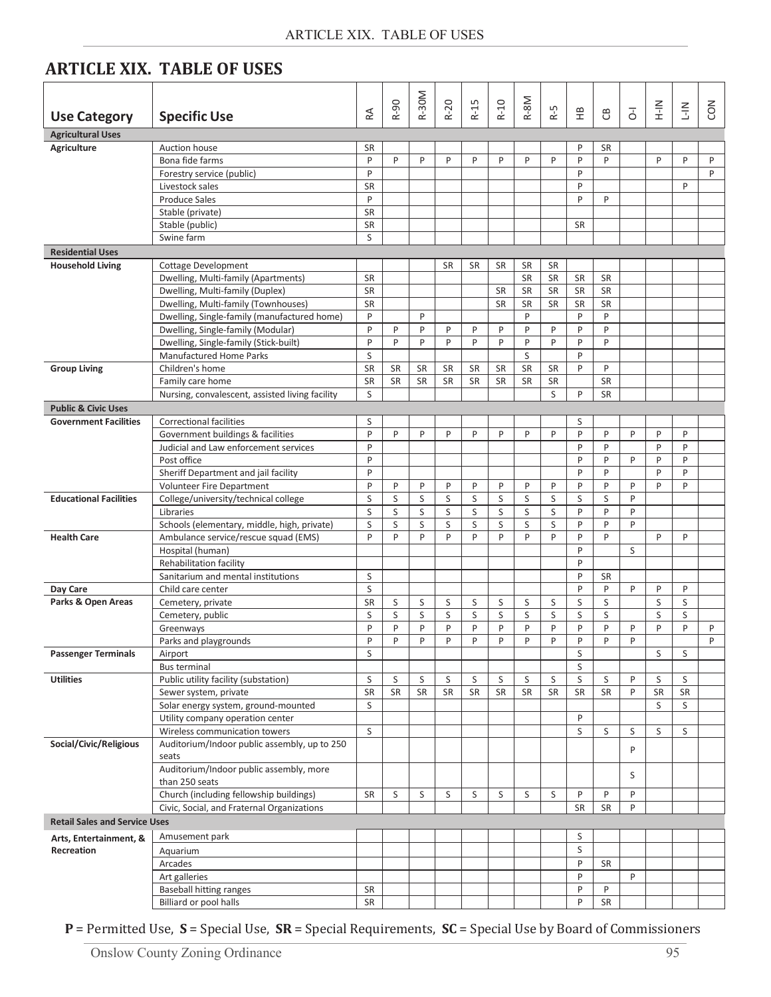| <b>ARTICLE XIX. TABLE OF USES</b> |  |  |
|-----------------------------------|--|--|
|-----------------------------------|--|--|

| <b>Use Category</b>                  | <b>Specific Use</b>                                              | $R\triangle$ | $R-90$    | R-30M     | $R-20$    | $R-15$    | $R-10$    | R-8M           | 5<br>≃    | 운         | පී           | $\overline{d}$ | $\frac{2}{1}$ | $\frac{2}{1}$ | CON |
|--------------------------------------|------------------------------------------------------------------|--------------|-----------|-----------|-----------|-----------|-----------|----------------|-----------|-----------|--------------|----------------|---------------|---------------|-----|
| <b>Agricultural Uses</b>             |                                                                  |              |           |           |           |           |           |                |           |           |              |                |               |               |     |
| <b>Agriculture</b>                   | Auction house                                                    | <b>SR</b>    |           |           |           |           |           |                |           | P         | <b>SR</b>    |                |               |               |     |
|                                      | Bona fide farms                                                  | P            | P         | P         | P         | P         | P         | P              | P         | P         | P            |                | P             | P             | P   |
|                                      | Forestry service (public)                                        | P            |           |           |           |           |           |                |           | P         |              |                |               |               | P   |
|                                      | Livestock sales                                                  | <b>SR</b>    |           |           |           |           |           |                |           | P         |              |                |               | P             |     |
|                                      | <b>Produce Sales</b>                                             | P            |           |           |           |           |           |                |           | P         | P            |                |               |               |     |
|                                      | Stable (private)                                                 | SR           |           |           |           |           |           |                |           |           |              |                |               |               |     |
|                                      | Stable (public)                                                  | SR           |           |           |           |           |           |                |           | <b>SR</b> |              |                |               |               |     |
|                                      | Swine farm                                                       | S            |           |           |           |           |           |                |           |           |              |                |               |               |     |
| <b>Residential Uses</b>              |                                                                  |              |           |           |           |           |           |                |           |           |              |                |               |               |     |
| <b>Household Living</b>              | <b>Cottage Development</b>                                       |              |           |           | <b>SR</b> | <b>SR</b> | SR        | <b>SR</b>      | <b>SR</b> |           |              |                |               |               |     |
|                                      | Dwelling, Multi-family (Apartments)                              | <b>SR</b>    |           |           |           |           |           | SR             | <b>SR</b> | <b>SR</b> | <b>SR</b>    |                |               |               |     |
|                                      | Dwelling, Multi-family (Duplex)                                  | SR           |           |           |           |           | SR        | <b>SR</b>      | <b>SR</b> | <b>SR</b> | <b>SR</b>    |                |               |               |     |
|                                      | Dwelling, Multi-family (Townhouses)                              | <b>SR</b>    |           |           |           |           | SR        | <b>SR</b><br>P | SR        | <b>SR</b> | SR           |                |               |               |     |
|                                      | Dwelling, Single-family (manufactured home)                      | P            |           | P         |           |           |           |                |           | P         | $\mathsf{P}$ |                |               |               |     |
|                                      | Dwelling, Single-family (Modular)                                | P<br>P       | P<br>P    | P<br>P    | P<br>P    | P<br>P    | P<br>P    | P<br>P         | P<br>P    | P         | P<br>P       |                |               |               |     |
|                                      | Dwelling, Single-family (Stick-built)<br>Manufactured Home Parks | S            |           |           |           |           |           | S              |           | P<br>P    |              |                |               |               |     |
| <b>Group Living</b>                  | Children's home                                                  | <b>SR</b>    | <b>SR</b> | <b>SR</b> | <b>SR</b> | <b>SR</b> | SR        | <b>SR</b>      | <b>SR</b> | P         | P            |                |               |               |     |
|                                      | Family care home                                                 | SR           | <b>SR</b> | SR        | <b>SR</b> | <b>SR</b> | SR        | <b>SR</b>      | <b>SR</b> |           | <b>SR</b>    |                |               |               |     |
|                                      | Nursing, convalescent, assisted living facility                  | S            |           |           |           |           |           |                | S         | P         | <b>SR</b>    |                |               |               |     |
| <b>Public &amp; Civic Uses</b>       |                                                                  |              |           |           |           |           |           |                |           |           |              |                |               |               |     |
| <b>Government Facilities</b>         | <b>Correctional facilities</b>                                   | S            |           |           |           |           |           |                |           | S         |              |                |               |               |     |
|                                      | Government buildings & facilities                                | P            | P         | P         | P         | P         | P         | P              | P         | P         | P            | P              | P             | P             |     |
|                                      | Judicial and Law enforcement services                            | P            |           |           |           |           |           |                |           | P         | P            |                | P             | P             |     |
|                                      | Post office                                                      | P            |           |           |           |           |           |                |           | P         | P            | P              | P             | P             |     |
|                                      | Sheriff Department and jail facility                             | P            |           |           |           |           |           |                |           | P         | P            |                | P             | P             |     |
|                                      | Volunteer Fire Department                                        | P            | P         | P         | P         | P         | P         | P              | P         | P         | P            | P              | P             | P             |     |
| <b>Educational Facilities</b>        | College/university/technical college                             | S            | S         | S         | S         | S         | S         | S              | S         | S         | S            | P              |               |               |     |
|                                      | Libraries                                                        | S            | S         | S         | S         | S         | S         | S              | S         | P         | P            | P              |               |               |     |
|                                      | Schools (elementary, middle, high, private)                      | S            | S         | S         | S         | S         | S         | S              | S         | P         | P            | P              |               |               |     |
| <b>Health Care</b>                   | Ambulance service/rescue squad (EMS)                             | P            | P         | P         | P         | P         | P         | P              | P         | P         | P            |                | P             | P             |     |
|                                      | Hospital (human)                                                 |              |           |           |           |           |           |                |           | P         |              | S              |               |               |     |
|                                      | Rehabilitation facility                                          |              |           |           |           |           |           |                |           | P         |              |                |               |               |     |
|                                      | Sanitarium and mental institutions                               | S            |           |           |           |           |           |                |           | P         | <b>SR</b>    |                |               |               |     |
| Day Care                             | Child care center                                                | S            |           |           |           |           |           |                |           | P         | P            | P              | P             | P             |     |
| Parks & Open Areas                   | Cemetery, private                                                | SR           | S         | S         | S         | S         | S         | S              | S         | S         | S            |                | S             | S             |     |
|                                      | Cemetery, public                                                 | S            | S         | S         | S         | S         | S         | S              | S         | S         | S            |                | S             | S             |     |
|                                      | Greenways                                                        | P            | P         | P         | P         | P         | P         | P              | P         | P         | P            | P              | P             | P             | P   |
|                                      | Parks and playgrounds                                            | P            | P         | P         | P         | P         | P         | P              | P         | P         | P            | P              |               |               | P   |
| <b>Passenger Terminals</b>           | Airport<br><b>Bus terminal</b>                                   | S            |           |           |           |           |           |                |           | S<br>S    |              |                | S             | S             |     |
| <b>Utilities</b>                     | Public utility facility (substation)                             | S            | S         | S         | S         | S         | S         | S              | S         | S         | S            | P              | S             | S             |     |
|                                      | Sewer system, private                                            | SR           | SR        | <b>SR</b> | <b>SR</b> | <b>SR</b> | <b>SR</b> | <b>SR</b>      | <b>SR</b> | <b>SR</b> | <b>SR</b>    | P              | <b>SR</b>     | SR            |     |
|                                      | Solar energy system, ground-mounted                              | S            |           |           |           |           |           |                |           |           |              |                | S             | S             |     |
|                                      | Utility company operation center                                 |              |           |           |           |           |           |                |           | P         |              |                |               |               |     |
|                                      | Wireless communication towers                                    | S            |           |           |           |           |           |                |           | S         | S            | S              | S             | S             |     |
| Social/Civic/Religious               | Auditorium/Indoor public assembly, up to 250                     |              |           |           |           |           |           |                |           |           |              |                |               |               |     |
|                                      | seats                                                            |              |           |           |           |           |           |                |           |           |              | P              |               |               |     |
|                                      | Auditorium/Indoor public assembly, more                          |              |           |           |           |           |           |                |           |           |              |                |               |               |     |
|                                      | than 250 seats                                                   |              |           |           |           |           |           |                |           |           |              | S              |               |               |     |
|                                      | Church (including fellowship buildings)                          | SR           | S         | S         | S         | S         | S         | S              | S         | P         | P            | P              |               |               |     |
|                                      | Civic, Social, and Fraternal Organizations                       |              |           |           |           |           |           |                |           | <b>SR</b> | <b>SR</b>    | P              |               |               |     |
| <b>Retail Sales and Service Uses</b> |                                                                  |              |           |           |           |           |           |                |           |           |              |                |               |               |     |
| Arts, Entertainment, &               | Amusement park                                                   |              |           |           |           |           |           |                |           | S         |              |                |               |               |     |
| Recreation                           | Aquarium                                                         |              |           |           |           |           |           |                |           | S         |              |                |               |               |     |
|                                      | Arcades                                                          |              |           |           |           |           |           |                |           | P         | <b>SR</b>    |                |               |               |     |
|                                      | Art galleries                                                    |              |           |           |           |           |           |                |           | P         |              | P              |               |               |     |
|                                      | <b>Baseball hitting ranges</b>                                   | SR           |           |           |           |           |           |                |           | P         | P            |                |               |               |     |
|                                      | Billiard or pool halls                                           | ${\sf SR}$   |           |           |           |           |           |                |           | P         | SR           |                |               |               |     |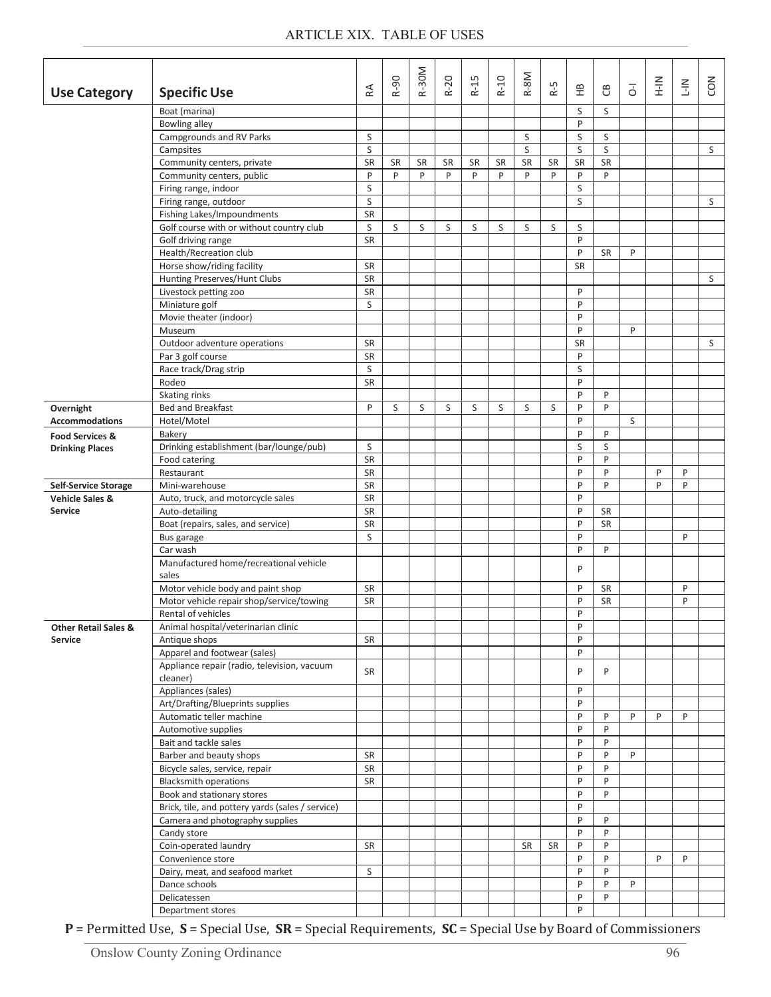|                                 |                                                                                |                | $R-90$  | <b>R-30M</b>   | R-20           | $R-15$         | $R-10$         | R-8M    |         |           |              |                | $\frac{2}{1}$ |             |     |
|---------------------------------|--------------------------------------------------------------------------------|----------------|---------|----------------|----------------|----------------|----------------|---------|---------|-----------|--------------|----------------|---------------|-------------|-----|
| <b>Use Category</b>             | <b>Specific Use</b>                                                            | $\mathbb R$    |         |                |                |                |                |         | $R-5$   | 운         | පී           | $\overline{d}$ |               | $rac{2}{1}$ | СON |
|                                 | Boat (marina)                                                                  |                |         |                |                |                |                |         |         | S         | S            |                |               |             |     |
|                                 | <b>Bowling alley</b>                                                           |                |         |                |                |                |                |         |         | P         |              |                |               |             |     |
|                                 | Campgrounds and RV Parks                                                       | S              |         |                |                |                |                | S       |         | S         | S            |                |               |             |     |
|                                 | Campsites                                                                      | S              |         |                |                |                |                | S       |         | S         | S            |                |               |             | S   |
|                                 | Community centers, private<br>Community centers, public                        | <b>SR</b><br>P | SR<br>P | <b>SR</b><br>P | <b>SR</b><br>P | <b>SR</b><br>P | <b>SR</b><br>P | SR<br>P | SR<br>P | SR<br>P   | SR<br>P      |                |               |             |     |
|                                 | Firing range, indoor                                                           | S              |         |                |                |                |                |         |         | S         |              |                |               |             |     |
|                                 | Firing range, outdoor                                                          | S              |         |                |                |                |                |         |         | S         |              |                |               |             | S   |
|                                 | Fishing Lakes/Impoundments                                                     | SR             |         |                |                |                |                |         |         |           |              |                |               |             |     |
|                                 | Golf course with or without country club                                       | S              | S       | S              | S              | S              | S              | S       | S       | S         |              |                |               |             |     |
|                                 | Golf driving range                                                             | SR             |         |                |                |                |                |         |         | P         |              |                |               |             |     |
|                                 | Health/Recreation club                                                         |                |         |                |                |                |                |         |         | P         | <b>SR</b>    | P              |               |             |     |
|                                 | Horse show/riding facility                                                     | <b>SR</b>      |         |                |                |                |                |         |         | <b>SR</b> |              |                |               |             |     |
|                                 | Hunting Preserves/Hunt Clubs                                                   | SR             |         |                |                |                |                |         |         |           |              |                |               |             | S   |
|                                 | Livestock petting zoo                                                          | SR             |         |                |                |                |                |         |         | P<br>P    |              |                |               |             |     |
|                                 | Miniature golf<br>Movie theater (indoor)                                       | S              |         |                |                |                |                |         |         | P         |              |                |               |             |     |
|                                 | Museum                                                                         |                |         |                |                |                |                |         |         | P         |              | P              |               |             |     |
|                                 | Outdoor adventure operations                                                   | SR             |         |                |                |                |                |         |         | SR        |              |                |               |             | S   |
|                                 | Par 3 golf course                                                              | <b>SR</b>      |         |                |                |                |                |         |         | P         |              |                |               |             |     |
|                                 | Race track/Drag strip                                                          | S              |         |                |                |                |                |         |         | S         |              |                |               |             |     |
|                                 | Rodeo                                                                          | <b>SR</b>      |         |                |                |                |                |         |         | P         |              |                |               |             |     |
|                                 | Skating rinks                                                                  |                |         |                |                |                |                |         |         | P         | P            |                |               |             |     |
| Overnight                       | <b>Bed and Breakfast</b>                                                       | P              | S       | S              | S              | S              | S              | S       | S       | P         | P            |                |               |             |     |
| <b>Accommodations</b>           | Hotel/Motel                                                                    |                |         |                |                |                |                |         |         | P         |              | S              |               |             |     |
| <b>Food Services &amp;</b>      | Bakery<br>Drinking establishment (bar/lounge/pub)                              | S              |         |                |                |                |                |         |         | P<br>S    | P<br>S       |                |               |             |     |
| <b>Drinking Places</b>          | Food catering                                                                  | <b>SR</b>      |         |                |                |                |                |         |         | P         | P            |                |               |             |     |
|                                 | Restaurant                                                                     | SR             |         |                |                |                |                |         |         | P         | $\mathsf{P}$ |                | $\mathsf{P}$  | P           |     |
| <b>Self-Service Storage</b>     | Mini-warehouse                                                                 | SR             |         |                |                |                |                |         |         | P         | P            |                | P             | P           |     |
| <b>Vehicle Sales &amp;</b>      | Auto, truck, and motorcycle sales                                              | SR             |         |                |                |                |                |         |         | P         |              |                |               |             |     |
| Service                         | Auto-detailing                                                                 | SR             |         |                |                |                |                |         |         | P         | <b>SR</b>    |                |               |             |     |
|                                 | Boat (repairs, sales, and service)                                             | SR             |         |                |                |                |                |         |         | P         | SR           |                |               |             |     |
|                                 | Bus garage                                                                     | S              |         |                |                |                |                |         |         | P         |              |                |               | P           |     |
|                                 | Car wash<br>Manufactured home/recreational vehicle                             |                |         |                |                |                |                |         |         | P         | P            |                |               |             |     |
|                                 | sales                                                                          |                |         |                |                |                |                |         |         | P         |              |                |               |             |     |
|                                 | Motor vehicle body and paint shop                                              | <b>SR</b>      |         |                |                |                |                |         |         | P         | <b>SR</b>    |                |               | P           |     |
|                                 | Motor vehicle repair shop/service/towing                                       | SR             |         |                |                |                |                |         |         | P         | <b>SR</b>    |                |               | P           |     |
|                                 | Rental of vehicles                                                             |                |         |                |                |                |                |         |         | P         |              |                |               |             |     |
| <b>Other Retail Sales &amp;</b> | Animal hospital/veterinarian clinic                                            |                |         |                |                |                |                |         |         | P         |              |                |               |             |     |
| Service                         | Antique shops                                                                  | <b>SR</b>      |         |                |                |                |                |         |         | P         |              |                |               |             |     |
|                                 | Apparel and footwear (sales)<br>Appliance repair (radio, television, vacuum    |                |         |                |                |                |                |         |         | P         |              |                |               |             |     |
|                                 | cleaner)                                                                       | SR             |         |                |                |                |                |         |         | P         | P            |                |               |             |     |
|                                 | Appliances (sales)                                                             |                |         |                |                |                |                |         |         | P         |              |                |               |             |     |
|                                 | Art/Drafting/Blueprints supplies                                               |                |         |                |                |                |                |         |         | P         |              |                |               |             |     |
|                                 | Automatic teller machine                                                       |                |         |                |                |                |                |         |         | P         | P            | P              | P             | P           |     |
|                                 | Automotive supplies                                                            |                |         |                |                |                |                |         |         | P         | P            |                |               |             |     |
|                                 | Bait and tackle sales                                                          |                |         |                |                |                |                |         |         | P         | P            |                |               |             |     |
|                                 | Barber and beauty shops                                                        | SR             |         |                |                |                |                |         |         | P         | P            | P              |               |             |     |
|                                 | Bicycle sales, service, repair                                                 | SR             |         |                |                |                |                |         |         | P         | P            |                |               |             |     |
|                                 | <b>Blacksmith operations</b>                                                   | SR             |         |                |                |                |                |         |         | P<br>P    | P<br>P       |                |               |             |     |
|                                 | Book and stationary stores<br>Brick, tile, and pottery yards (sales / service) |                |         |                |                |                |                |         |         | P         |              |                |               |             |     |
|                                 | Camera and photography supplies                                                |                |         |                |                |                |                |         |         | P         | P            |                |               |             |     |
|                                 | Candy store                                                                    |                |         |                |                |                |                |         |         | P         | P            |                |               |             |     |
|                                 | Coin-operated laundry                                                          | SR             |         |                |                |                |                | SR      | SR      | P         | P            |                |               |             |     |
|                                 | Convenience store                                                              |                |         |                |                |                |                |         |         | P         | P            |                | P             | P           |     |
|                                 | Dairy, meat, and seafood market                                                | S              |         |                |                |                |                |         |         | P         | P            |                |               |             |     |
|                                 | Dance schools                                                                  |                |         |                |                |                |                |         |         | P<br>P    | P<br>P       | P              |               |             |     |
|                                 | Delicatessen<br>Department stores                                              |                |         |                |                |                |                |         |         | P         |              |                |               |             |     |
|                                 |                                                                                |                |         |                |                |                |                |         |         |           |              |                |               |             |     |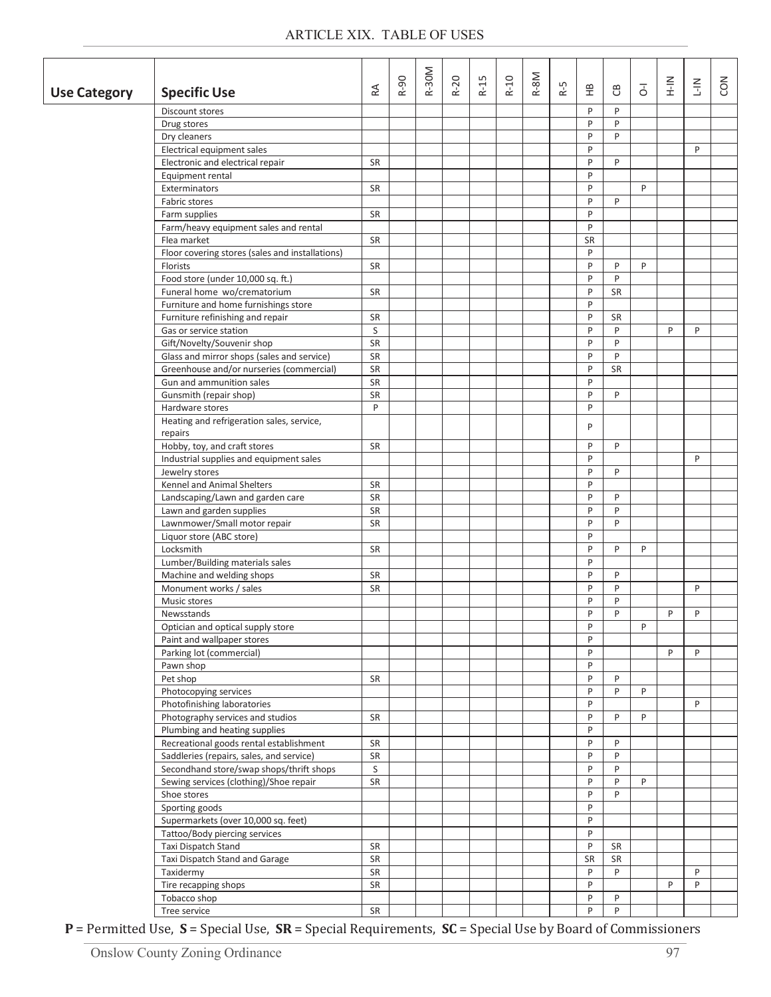| <b>Use Category</b> | <b>Specific Use</b>                                  | $\mathbb R$ | R-90 | R-30M | $R-20$ | S<br>$R-1$ | $R-10$ | $R-8M$ | rÙ.<br>空 | 운         | ප         | $\overline{d}$ | $\frac{2}{1}$ | $rac{2}{1}$ | CON |
|---------------------|------------------------------------------------------|-------------|------|-------|--------|------------|--------|--------|----------|-----------|-----------|----------------|---------------|-------------|-----|
|                     | Discount stores                                      |             |      |       |        |            |        |        |          | P         | P         |                |               |             |     |
|                     | Drug stores                                          |             |      |       |        |            |        |        |          | P         | P         |                |               |             |     |
|                     | Dry cleaners                                         |             |      |       |        |            |        |        |          | P         | P         |                |               |             |     |
|                     | Electrical equipment sales                           |             |      |       |        |            |        |        |          | P         |           |                |               | P           |     |
|                     | Electronic and electrical repair                     | <b>SR</b>   |      |       |        |            |        |        |          | P         | P         |                |               |             |     |
|                     | Equipment rental                                     |             |      |       |        |            |        |        |          | P         |           |                |               |             |     |
|                     | Exterminators                                        | <b>SR</b>   |      |       |        |            |        |        |          | P         |           | P              |               |             |     |
|                     | Fabric stores                                        |             |      |       |        |            |        |        |          | P         | P         |                |               |             |     |
|                     | Farm supplies                                        | SR          |      |       |        |            |        |        |          | P         |           |                |               |             |     |
|                     | Farm/heavy equipment sales and rental                |             |      |       |        |            |        |        |          | P         |           |                |               |             |     |
|                     | Flea market                                          | SR          |      |       |        |            |        |        |          | <b>SR</b> |           |                |               |             |     |
|                     | Floor covering stores (sales and installations)      |             |      |       |        |            |        |        |          | P         |           |                |               |             |     |
|                     | Florists                                             | <b>SR</b>   |      |       |        |            |        |        |          | P         | P         | P              |               |             |     |
|                     | Food store (under 10,000 sq. ft.)                    |             |      |       |        |            |        |        |          | P         | P         |                |               |             |     |
|                     | Funeral home wo/crematorium                          | <b>SR</b>   |      |       |        |            |        |        |          | P         | SR        |                |               |             |     |
|                     | Furniture and home furnishings store                 |             |      |       |        |            |        |        |          | P         |           |                |               |             |     |
|                     | Furniture refinishing and repair                     | <b>SR</b>   |      |       |        |            |        |        |          | P         | <b>SR</b> |                |               |             |     |
|                     | Gas or service station                               | S           |      |       |        |            |        |        |          | P         | P         |                | P             | P           |     |
|                     | Gift/Novelty/Souvenir shop                           | <b>SR</b>   |      |       |        |            |        |        |          | P         | P         |                |               |             |     |
|                     | Glass and mirror shops (sales and service)           | <b>SR</b>   |      |       |        |            |        |        |          | P         | P         |                |               |             |     |
|                     | Greenhouse and/or nurseries (commercial)             | <b>SR</b>   |      |       |        |            |        |        |          | P         | SR        |                |               |             |     |
|                     | Gun and ammunition sales                             | SR          |      |       |        |            |        |        |          | P         |           |                |               |             |     |
|                     | Gunsmith (repair shop)                               | SR          |      |       |        |            |        |        |          | P         | P         |                |               |             |     |
|                     | Hardware stores                                      | P           |      |       |        |            |        |        |          | P         |           |                |               |             |     |
|                     | Heating and refrigeration sales, service,<br>repairs |             |      |       |        |            |        |        |          | P         |           |                |               |             |     |
|                     | Hobby, toy, and craft stores                         | <b>SR</b>   |      |       |        |            |        |        |          | P         | P         |                |               |             |     |
|                     | Industrial supplies and equipment sales              |             |      |       |        |            |        |        |          | P         |           |                |               | P           |     |
|                     | Jewelry stores                                       |             |      |       |        |            |        |        |          | P         | P         |                |               |             |     |
|                     | Kennel and Animal Shelters                           | SR          |      |       |        |            |        |        |          | P         |           |                |               |             |     |
|                     | Landscaping/Lawn and garden care                     | SR          |      |       |        |            |        |        |          | P         | P         |                |               |             |     |
|                     | Lawn and garden supplies                             | SR          |      |       |        |            |        |        |          | P         | P         |                |               |             |     |
|                     | Lawnmower/Small motor repair                         | SR          |      |       |        |            |        |        |          | P         | P         |                |               |             |     |
|                     | Liquor store (ABC store)                             |             |      |       |        |            |        |        |          | P         |           |                |               |             |     |
|                     | Locksmith                                            | SR          |      |       |        |            |        |        |          | P         | P         | P              |               |             |     |
|                     | Lumber/Building materials sales                      |             |      |       |        |            |        |        |          | P         |           |                |               |             |     |
|                     | Machine and welding shops                            | SR          |      |       |        |            |        |        |          | P         | P         |                |               |             |     |
|                     | Monument works / sales                               | SR          |      |       |        |            |        |        |          | P         | P         |                |               | P           |     |
|                     |                                                      |             |      |       |        |            |        |        |          | P         | P         |                |               |             |     |
|                     | Music stores<br>Newsstands                           |             |      |       |        |            |        |        |          | P         | P         |                | P             | P           |     |
|                     | Optician and optical supply store                    |             |      |       |        |            |        |        |          | P         |           | P              |               |             |     |
|                     | Paint and wallpaper stores                           |             |      |       |        |            |        |        |          | P         |           |                |               |             |     |
|                     |                                                      |             |      |       |        |            |        |        |          | P         |           |                | P             | P           |     |
|                     | Parking lot (commercial)<br>Pawn shop                |             |      |       |        |            |        |        |          | P         |           |                |               |             |     |
|                     |                                                      |             |      |       |        |            |        |        |          | P         | P         |                |               |             |     |
|                     | Pet shop<br>Photocopying services                    | SR          |      |       |        |            |        |        |          | P         | P         | P              |               |             |     |
|                     |                                                      |             |      |       |        |            |        |        |          | P         |           |                |               |             |     |
|                     | Photofinishing laboratories                          |             |      |       |        |            |        |        |          | P         | P         | P              |               | P           |     |
|                     | Photography services and studios                     | SR          |      |       |        |            |        |        |          | P         |           |                |               |             |     |
|                     | Plumbing and heating supplies                        |             |      |       |        |            |        |        |          |           |           |                |               |             |     |
|                     | Recreational goods rental establishment              | SR          |      |       |        |            |        |        |          | P         | P         |                |               |             |     |
|                     | Saddleries (repairs, sales, and service)             | SR          |      |       |        |            |        |        |          | P         | P         |                |               |             |     |
|                     | Secondhand store/swap shops/thrift shops             | S           |      |       |        |            |        |        |          | P         | P         |                |               |             |     |
|                     | Sewing services (clothing)/Shoe repair               | SR          |      |       |        |            |        |        |          | P         | P         | P              |               |             |     |
|                     | Shoe stores                                          |             |      |       |        |            |        |        |          | P         | P         |                |               |             |     |
|                     | Sporting goods                                       |             |      |       |        |            |        |        |          | P         |           |                |               |             |     |
|                     | Supermarkets (over 10,000 sq. feet)                  |             |      |       |        |            |        |        |          | P         |           |                |               |             |     |
|                     | Tattoo/Body piercing services                        |             |      |       |        |            |        |        |          | P         |           |                |               |             |     |
|                     | Taxi Dispatch Stand                                  | SR          |      |       |        |            |        |        |          | P         | SR        |                |               |             |     |
|                     | Taxi Dispatch Stand and Garage                       | SR          |      |       |        |            |        |        |          | SR        | SR        |                |               |             |     |
|                     | Taxidermy                                            | SR          |      |       |        |            |        |        |          | P         | P         |                |               | P           |     |
|                     | Tire recapping shops                                 | SR          |      |       |        |            |        |        |          | P         |           |                | P             | P           |     |
|                     | Tobacco shop                                         |             |      |       |        |            |        |        |          | P         | P         |                |               |             |     |
|                     | Tree service                                         | SR          |      |       |        |            |        |        |          | P         | P         |                |               |             |     |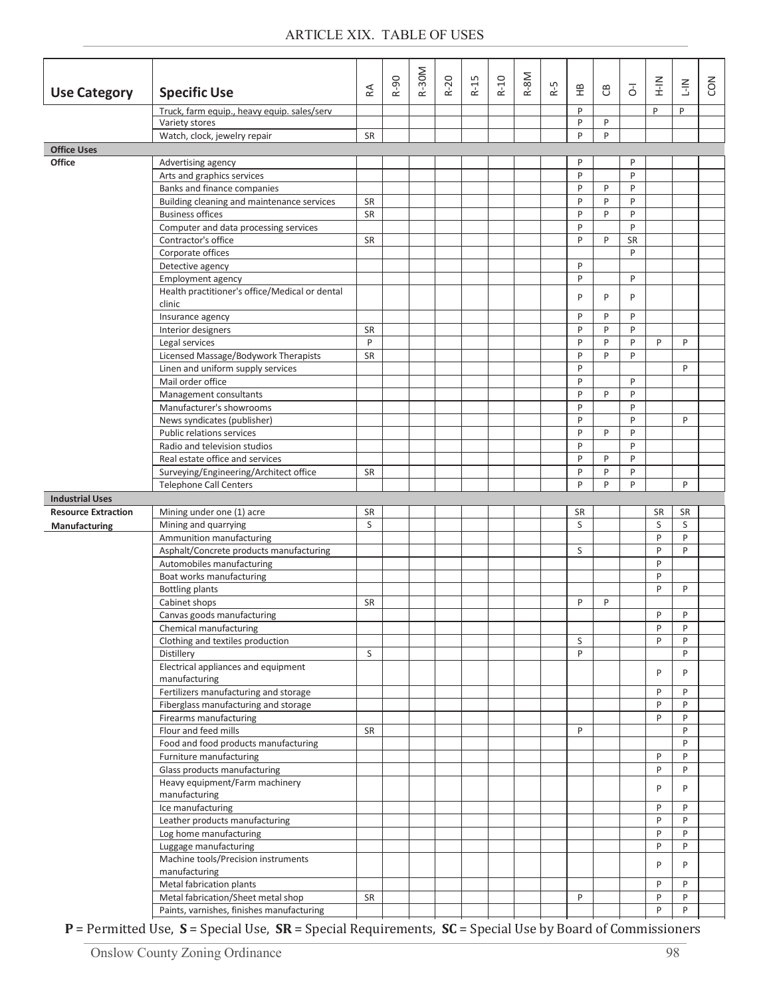|                                                      |                                                                                                             |           | $R-90$ | R-30M | $R-20$ | $R-15$ | $R-10$ | R-8M | R-5 |           |        |                | $\frac{2}{1}$     | $rac{2}{1}$ | <b>CON</b> |
|------------------------------------------------------|-------------------------------------------------------------------------------------------------------------|-----------|--------|-------|--------|--------|--------|------|-----|-----------|--------|----------------|-------------------|-------------|------------|
| <b>Use Category</b>                                  | <b>Specific Use</b>                                                                                         | RÁ        |        |       |        |        |        |      |     | 운         | පී     | $\overline{5}$ |                   |             |            |
|                                                      | Truck, farm equip., heavy equip. sales/serv                                                                 |           |        |       |        |        |        |      |     | P         |        |                | P                 | P           |            |
|                                                      | Variety stores                                                                                              | SR        |        |       |        |        |        |      |     | P<br>P    | P<br>P |                |                   |             |            |
| <b>Office Uses</b>                                   | Watch, clock, jewelry repair                                                                                |           |        |       |        |        |        |      |     |           |        |                |                   |             |            |
| <b>Office</b>                                        | Advertising agency                                                                                          |           |        |       |        |        |        |      |     | P         |        | P              |                   |             |            |
|                                                      | Arts and graphics services                                                                                  |           |        |       |        |        |        |      |     | P         |        | P              |                   |             |            |
|                                                      | Banks and finance companies                                                                                 |           |        |       |        |        |        |      |     | P         | P      | P              |                   |             |            |
|                                                      | Building cleaning and maintenance services                                                                  | <b>SR</b> |        |       |        |        |        |      |     | P         | P      | P              |                   |             |            |
|                                                      | <b>Business offices</b>                                                                                     | <b>SR</b> |        |       |        |        |        |      |     | P         | P      | P              |                   |             |            |
|                                                      | Computer and data processing services                                                                       |           |        |       |        |        |        |      |     | P         |        | P              |                   |             |            |
|                                                      | Contractor's office                                                                                         | <b>SR</b> |        |       |        |        |        |      |     | P         | P      | SR<br>P        |                   |             |            |
|                                                      | Corporate offices<br>Detective agency                                                                       |           |        |       |        |        |        |      |     | P         |        |                |                   |             |            |
|                                                      | Employment agency                                                                                           |           |        |       |        |        |        |      |     | P         |        | P              |                   |             |            |
|                                                      | Health practitioner's office/Medical or dental                                                              |           |        |       |        |        |        |      |     |           |        |                |                   |             |            |
|                                                      | clinic                                                                                                      |           |        |       |        |        |        |      |     | P         | P      | P              |                   |             |            |
|                                                      | Insurance agency                                                                                            |           |        |       |        |        |        |      |     | P         | P      | P              |                   |             |            |
|                                                      | Interior designers                                                                                          | <b>SR</b> |        |       |        |        |        |      |     | P         | P      | P              |                   |             |            |
|                                                      | Legal services                                                                                              | P         |        |       |        |        |        |      |     | P         | P      | P              | P                 | P           |            |
|                                                      | Licensed Massage/Bodywork Therapists                                                                        | SR        |        |       |        |        |        |      |     | P         | P      | P              |                   |             |            |
|                                                      | Linen and uniform supply services<br>Mail order office                                                      |           |        |       |        |        |        |      |     | P<br>P    |        | P              |                   | P           |            |
|                                                      | Management consultants                                                                                      |           |        |       |        |        |        |      |     | P         | P      | P              |                   |             |            |
|                                                      | Manufacturer's showrooms                                                                                    |           |        |       |        |        |        |      |     | P         |        | P              |                   |             |            |
|                                                      | News syndicates (publisher)                                                                                 |           |        |       |        |        |        |      |     | P         |        | P              |                   | P           |            |
|                                                      | Public relations services                                                                                   |           |        |       |        |        |        |      |     | P         | P      | P              |                   |             |            |
|                                                      | Radio and television studios                                                                                |           |        |       |        |        |        |      |     | P         |        | P              |                   |             |            |
|                                                      | Real estate office and services                                                                             |           |        |       |        |        |        |      |     | P         | P      | P              |                   |             |            |
|                                                      | Surveying/Engineering/Architect office                                                                      | <b>SR</b> |        |       |        |        |        |      |     | P         | P      | P              |                   |             |            |
|                                                      | <b>Telephone Call Centers</b>                                                                               |           |        |       |        |        |        |      |     | P         | P      | P              |                   | P           |            |
| <b>Industrial Uses</b><br><b>Resource Extraction</b> | Mining under one (1) acre                                                                                   | <b>SR</b> |        |       |        |        |        |      |     | <b>SR</b> |        |                | <b>SR</b>         | <b>SR</b>   |            |
| Manufacturing                                        | Mining and quarrying                                                                                        | S         |        |       |        |        |        |      |     | S         |        |                | S                 | S           |            |
|                                                      | Ammunition manufacturing                                                                                    |           |        |       |        |        |        |      |     |           |        |                | $\mathsf{P}$      | P           |            |
|                                                      | Asphalt/Concrete products manufacturing                                                                     |           |        |       |        |        |        |      |     | S         |        |                | P                 | P           |            |
|                                                      | Automobiles manufacturing                                                                                   |           |        |       |        |        |        |      |     |           |        |                | $\mathsf{P}$      |             |            |
|                                                      | Boat works manufacturing                                                                                    |           |        |       |        |        |        |      |     |           |        |                | $\mathsf{P}$      |             |            |
|                                                      | <b>Bottling plants</b>                                                                                      |           |        |       |        |        |        |      |     |           |        |                | P                 | P           |            |
|                                                      | Cabinet shops                                                                                               | <b>SR</b> |        |       |        |        |        |      |     | P         | P      |                |                   |             |            |
|                                                      | Canvas goods manufacturing<br>Chemical manufacturing                                                        |           |        |       |        |        |        |      |     |           |        |                | $\mathsf{P}$<br>P | P<br>P      |            |
|                                                      | Clothing and textiles production                                                                            |           |        |       |        |        |        |      |     | S         |        |                | P                 | P           |            |
|                                                      | Distillery                                                                                                  | S         |        |       |        |        |        |      |     | P         |        |                |                   | P           |            |
|                                                      | Electrical appliances and equipment                                                                         |           |        |       |        |        |        |      |     |           |        |                |                   |             |            |
|                                                      | manufacturing                                                                                               |           |        |       |        |        |        |      |     |           |        |                | P                 | P           |            |
|                                                      | Fertilizers manufacturing and storage                                                                       |           |        |       |        |        |        |      |     |           |        |                | $\mathsf{P}$      | P           |            |
|                                                      | Fiberglass manufacturing and storage                                                                        |           |        |       |        |        |        |      |     |           |        |                | P                 | P           |            |
|                                                      | Firearms manufacturing                                                                                      |           |        |       |        |        |        |      |     |           |        |                | P                 | P           |            |
|                                                      | Flour and feed mills<br>Food and food products manufacturing                                                | <b>SR</b> |        |       |        |        |        |      |     | P         |        |                |                   | P<br>P      |            |
|                                                      | Furniture manufacturing                                                                                     |           |        |       |        |        |        |      |     |           |        |                | P                 | P           |            |
|                                                      | Glass products manufacturing                                                                                |           |        |       |        |        |        |      |     |           |        |                | P                 | P           |            |
|                                                      | Heavy equipment/Farm machinery                                                                              |           |        |       |        |        |        |      |     |           |        |                | P                 | P           |            |
|                                                      | manufacturing                                                                                               |           |        |       |        |        |        |      |     |           |        |                |                   |             |            |
|                                                      | Ice manufacturing                                                                                           |           |        |       |        |        |        |      |     |           |        |                | $\mathsf{P}$      | P           |            |
|                                                      | Leather products manufacturing                                                                              |           |        |       |        |        |        |      |     |           |        |                | P                 | P           |            |
|                                                      | Log home manufacturing                                                                                      |           |        |       |        |        |        |      |     |           |        |                | P<br>P            | P<br>P      |            |
|                                                      |                                                                                                             |           |        |       |        |        |        |      |     |           |        |                |                   |             |            |
|                                                      | Luggage manufacturing                                                                                       |           |        |       |        |        |        |      |     |           |        |                |                   |             |            |
|                                                      | Machine tools/Precision instruments                                                                         |           |        |       |        |        |        |      |     |           |        |                | P                 | P           |            |
|                                                      | manufacturing                                                                                               |           |        |       |        |        |        |      |     |           |        |                | $\mathsf{P}$      | P           |            |
|                                                      | Metal fabrication plants<br>Metal fabrication/Sheet metal shop<br>Paints, varnishes, finishes manufacturing | SR        |        |       |        |        |        |      |     | P         |        |                | P                 | P           |            |